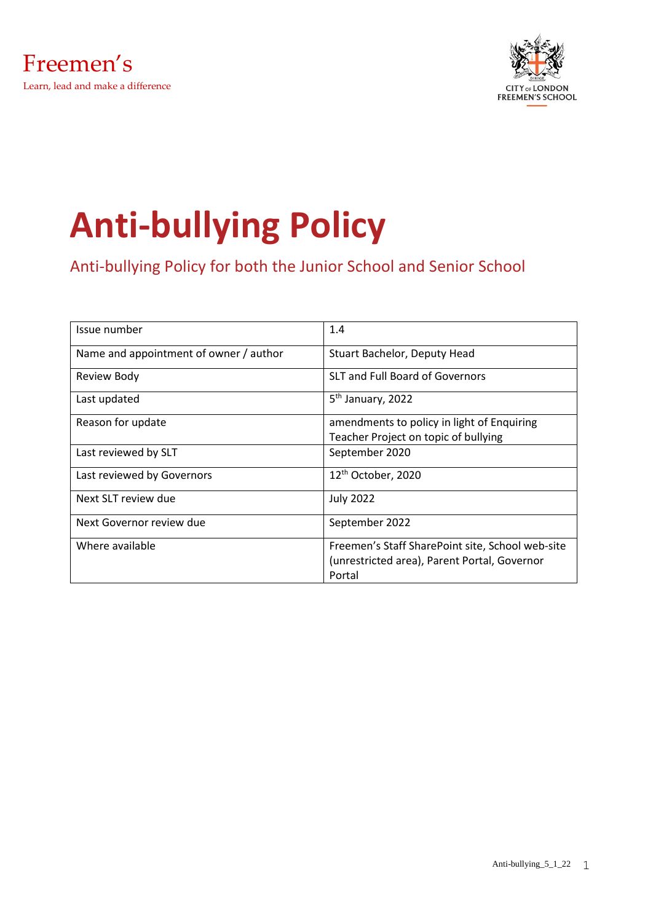



# **Anti-bullying Policy**

Anti-bullying Policy for both the Junior School and Senior School

| Issue number                           | 1.4                                              |
|----------------------------------------|--------------------------------------------------|
| Name and appointment of owner / author | Stuart Bachelor, Deputy Head                     |
| Review Body                            | <b>SLT and Full Board of Governors</b>           |
| Last updated                           | 5 <sup>th</sup> January, 2022                    |
| Reason for update                      | amendments to policy in light of Enquiring       |
|                                        | Teacher Project on topic of bullying             |
| Last reviewed by SLT                   | September 2020                                   |
| Last reviewed by Governors             | 12 <sup>th</sup> October, 2020                   |
| Next SLT review due                    | <b>July 2022</b>                                 |
| Next Governor review due               | September 2022                                   |
| Where available                        | Freemen's Staff SharePoint site, School web-site |
|                                        | (unrestricted area), Parent Portal, Governor     |
|                                        | Portal                                           |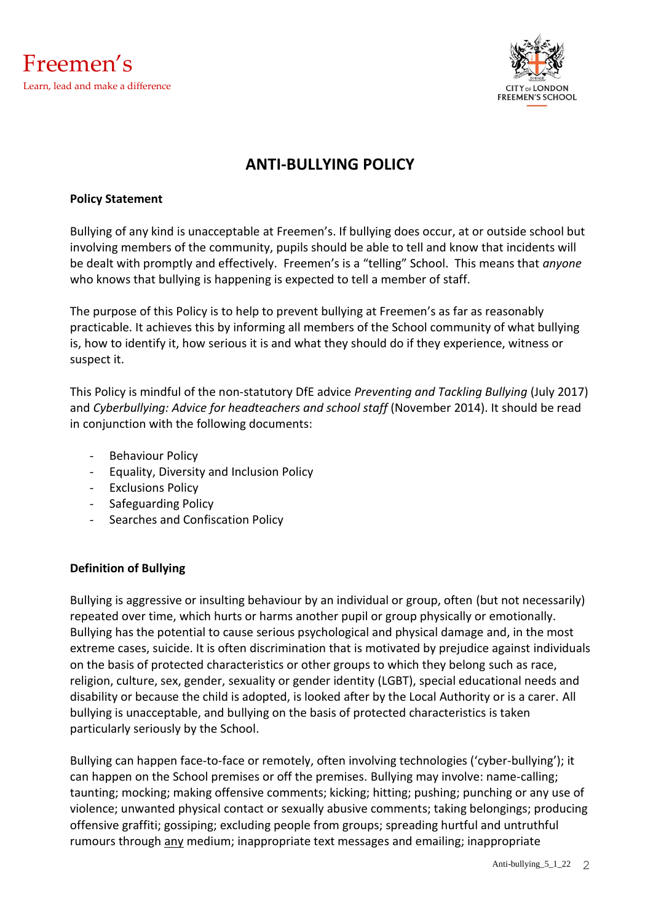



# **ANTI-BULLYING POLICY**

#### **Policy Statement**

Bullying of any kind is unacceptable at Freemen's. If bullying does occur, at or outside school but involving members of the community, pupils should be able to tell and know that incidents will be dealt with promptly and effectively. Freemen's is a "telling" School. This means that *anyone* who knows that bullying is happening is expected to tell a member of staff.

The purpose of this Policy is to help to prevent bullying at Freemen's as far as reasonably practicable. It achieves this by informing all members of the School community of what bullying is, how to identify it, how serious it is and what they should do if they experience, witness or suspect it.

This Policy is mindful of the non-statutory DfE advice *Preventing and Tackling Bullying* (July 2017) and *Cyberbullying: Advice for headteachers and school staff* (November 2014). It should be read in conjunction with the following documents:

- Behaviour Policy
- Equality, Diversity and Inclusion Policy
- **Exclusions Policy**
- Safeguarding Policy
- Searches and Confiscation Policy

# **Definition of Bullying**

Bullying is aggressive or insulting behaviour by an individual or group, often (but not necessarily) repeated over time, which hurts or harms another pupil or group physically or emotionally. Bullying has the potential to cause serious psychological and physical damage and, in the most extreme cases, suicide. It is often discrimination that is motivated by prejudice against individuals on the basis of protected characteristics or other groups to which they belong such as race, religion, culture, sex, gender, sexuality or gender identity (LGBT), special educational needs and disability or because the child is adopted, is looked after by the Local Authority or is a carer. All bullying is unacceptable, and bullying on the basis of protected characteristics is taken particularly seriously by the School.

Bullying can happen face-to-face or remotely, often involving technologies ('cyber-bullying'); it can happen on the School premises or off the premises. Bullying may involve: name-calling; taunting; mocking; making offensive comments; kicking; hitting; pushing; punching or any use of violence; unwanted physical contact or sexually abusive comments; taking belongings; producing offensive graffiti; gossiping; excluding people from groups; spreading hurtful and untruthful rumours through any medium; inappropriate text messages and emailing; inappropriate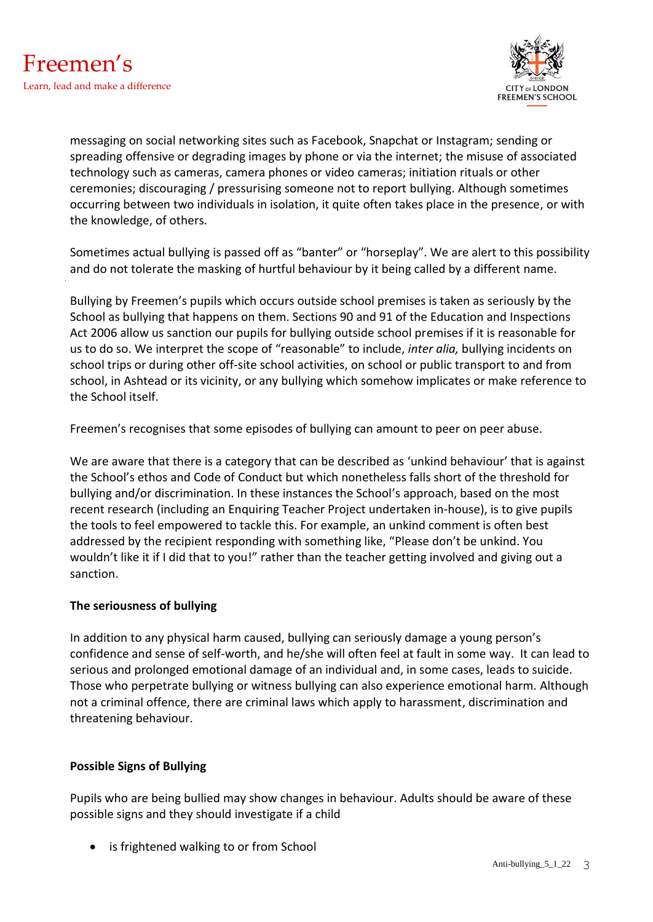

messaging on social networking sites such as Facebook, Snapchat or Instagram; sending or spreading offensive or degrading images by phone or via the internet; the misuse of associated technology such as cameras, camera phones or video cameras; initiation rituals or other ceremonies; discouraging / pressurising someone not to report bullying. Although sometimes occurring between two individuals in isolation, it quite often takes place in the presence, or with the knowledge, of others.

Sometimes actual bullying is passed off as "banter" or "horseplay". We are alert to this possibility and do not tolerate the masking of hurtful behaviour by it being called by a different name.

Bullying by Freemen's pupils which occurs outside school premises is taken as seriously by the School as bullying that happens on them. Sections 90 and 91 of the Education and Inspections Act 2006 allow us sanction our pupils for bullying outside school premises if it is reasonable for us to do so. We interpret the scope of "reasonable" to include, *inter alia,* bullying incidents on school trips or during other off-site school activities, on school or public transport to and from school, in Ashtead or its vicinity, or any bullying which somehow implicates or make reference to the School itself.

Freemen's recognises that some episodes of bullying can amount to peer on peer abuse.

We are aware that there is a category that can be described as 'unkind behaviour' that is against the School's ethos and Code of Conduct but which nonetheless falls short of the threshold for bullying and/or discrimination. In these instances the School's approach, based on the most recent research (including an Enquiring Teacher Project undertaken in-house), is to give pupils the tools to feel empowered to tackle this. For example, an unkind comment is often best addressed by the recipient responding with something like, "Please don't be unkind. You wouldn't like it if I did that to you!" rather than the teacher getting involved and giving out a sanction.

# **The seriousness of bullying**

In addition to any physical harm caused, bullying can seriously damage a young person's confidence and sense of self-worth, and he/she will often feel at fault in some way. It can lead to serious and prolonged emotional damage of an individual and, in some cases, leads to suicide. Those who perpetrate bullying or witness bullying can also experience emotional harm. Although not a criminal offence, there are criminal laws which apply to harassment, discrimination and threatening behaviour.

# **Possible Signs of Bullying**

Pupils who are being bullied may show changes in behaviour. Adults should be aware of these possible signs and they should investigate if a child

• is frightened walking to or from School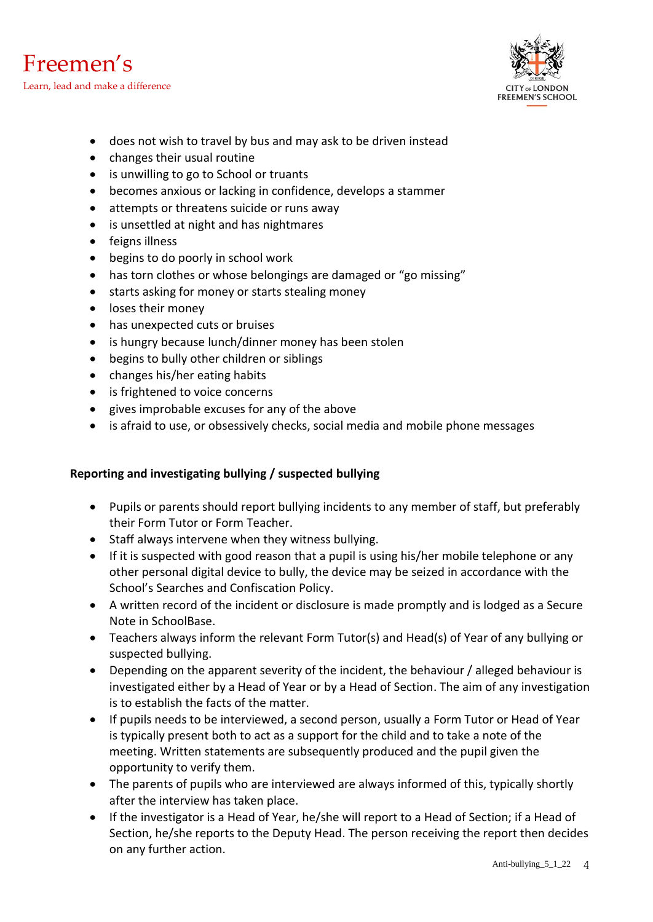



- does not wish to travel by bus and may ask to be driven instead
- changes their usual routine
- is unwilling to go to School or truants
- becomes anxious or lacking in confidence, develops a stammer
- attempts or threatens suicide or runs away
- is unsettled at night and has nightmares
- feigns illness
- begins to do poorly in school work
- has torn clothes or whose belongings are damaged or "go missing"
- starts asking for money or starts stealing money
- loses their money
- has unexpected cuts or bruises
- is hungry because lunch/dinner money has been stolen
- begins to bully other children or siblings
- changes his/her eating habits
- is frightened to voice concerns
- gives improbable excuses for any of the above
- is afraid to use, or obsessively checks, social media and mobile phone messages

#### **Reporting and investigating bullying / suspected bullying**

- Pupils or parents should report bullying incidents to any member of staff, but preferably their Form Tutor or Form Teacher.
- Staff always intervene when they witness bullying.
- If it is suspected with good reason that a pupil is using his/her mobile telephone or any other personal digital device to bully, the device may be seized in accordance with the School's Searches and Confiscation Policy.
- A written record of the incident or disclosure is made promptly and is lodged as a Secure Note in SchoolBase.
- Teachers always inform the relevant Form Tutor(s) and Head(s) of Year of any bullying or suspected bullying.
- Depending on the apparent severity of the incident, the behaviour / alleged behaviour is investigated either by a Head of Year or by a Head of Section. The aim of any investigation is to establish the facts of the matter.
- If pupils needs to be interviewed, a second person, usually a Form Tutor or Head of Year is typically present both to act as a support for the child and to take a note of the meeting. Written statements are subsequently produced and the pupil given the opportunity to verify them.
- The parents of pupils who are interviewed are always informed of this, typically shortly after the interview has taken place.
- If the investigator is a Head of Year, he/she will report to a Head of Section; if a Head of Section, he/she reports to the Deputy Head. The person receiving the report then decides on any further action.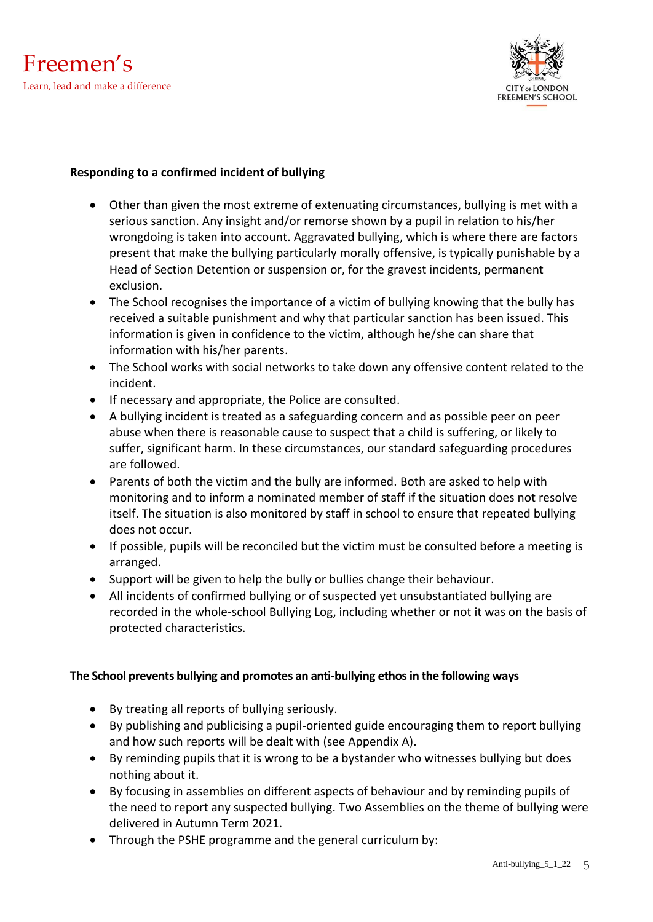



#### **Responding to a confirmed incident of bullying**

- Other than given the most extreme of extenuating circumstances, bullying is met with a serious sanction. Any insight and/or remorse shown by a pupil in relation to his/her wrongdoing is taken into account. Aggravated bullying, which is where there are factors present that make the bullying particularly morally offensive, is typically punishable by a Head of Section Detention or suspension or, for the gravest incidents, permanent exclusion.
- The School recognises the importance of a victim of bullying knowing that the bully has received a suitable punishment and why that particular sanction has been issued. This information is given in confidence to the victim, although he/she can share that information with his/her parents.
- The School works with social networks to take down any offensive content related to the incident.
- If necessary and appropriate, the Police are consulted.
- A bullying incident is treated as a safeguarding concern and as possible peer on peer abuse when there is reasonable cause to suspect that a child is suffering, or likely to suffer, significant harm. In these circumstances, our standard safeguarding procedures are followed.
- Parents of both the victim and the bully are informed. Both are asked to help with monitoring and to inform a nominated member of staff if the situation does not resolve itself. The situation is also monitored by staff in school to ensure that repeated bullying does not occur.
- If possible, pupils will be reconciled but the victim must be consulted before a meeting is arranged.
- Support will be given to help the bully or bullies change their behaviour.
- All incidents of confirmed bullying or of suspected yet unsubstantiated bullying are recorded in the whole-school Bullying Log, including whether or not it was on the basis of protected characteristics.

# **The School prevents bullying and promotes an anti-bullying ethos in the following ways**

- By treating all reports of bullying seriously.
- By publishing and publicising a pupil-oriented guide encouraging them to report bullying and how such reports will be dealt with (see Appendix A).
- By reminding pupils that it is wrong to be a bystander who witnesses bullying but does nothing about it.
- By focusing in assemblies on different aspects of behaviour and by reminding pupils of the need to report any suspected bullying. Two Assemblies on the theme of bullying were delivered in Autumn Term 2021.
- Through the PSHE programme and the general curriculum by: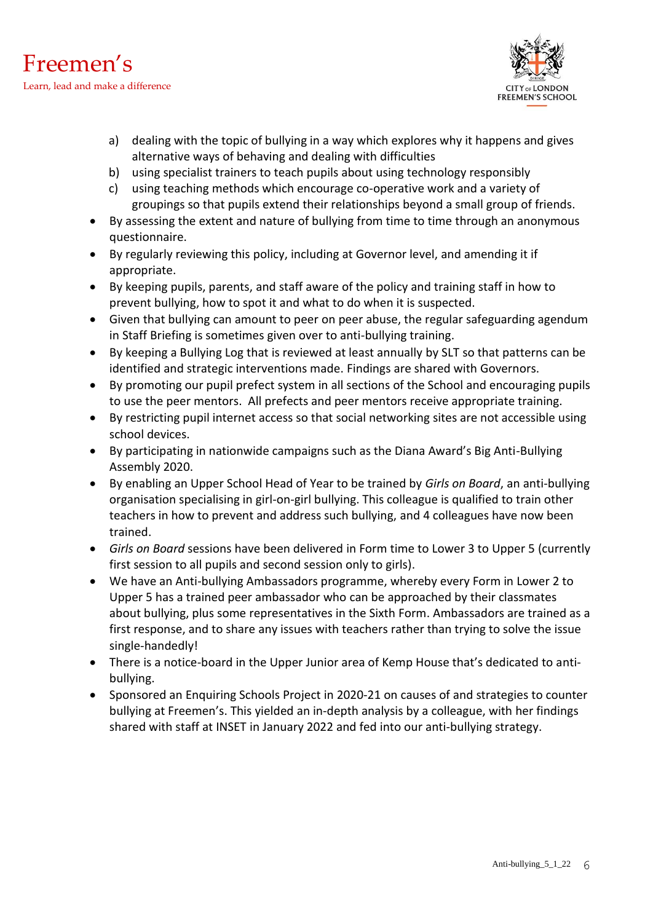



- a) dealing with the topic of bullying in a way which explores why it happens and gives alternative ways of behaving and dealing with difficulties
- b) using specialist trainers to teach pupils about using technology responsibly
- c) using teaching methods which encourage co-operative work and a variety of groupings so that pupils extend their relationships beyond a small group of friends.
- By assessing the extent and nature of bullying from time to time through an anonymous questionnaire.
- By regularly reviewing this policy, including at Governor level, and amending it if appropriate.
- By keeping pupils, parents, and staff aware of the policy and training staff in how to prevent bullying, how to spot it and what to do when it is suspected.
- Given that bullying can amount to peer on peer abuse, the regular safeguarding agendum in Staff Briefing is sometimes given over to anti-bullying training.
- By keeping a Bullying Log that is reviewed at least annually by SLT so that patterns can be identified and strategic interventions made. Findings are shared with Governors.
- By promoting our pupil prefect system in all sections of the School and encouraging pupils to use the peer mentors. All prefects and peer mentors receive appropriate training.
- By restricting pupil internet access so that social networking sites are not accessible using school devices.
- By participating in nationwide campaigns such as the Diana Award's Big Anti-Bullying Assembly 2020.
- By enabling an Upper School Head of Year to be trained by *Girls on Board*, an anti-bullying organisation specialising in girl-on-girl bullying. This colleague is qualified to train other teachers in how to prevent and address such bullying, and 4 colleagues have now been trained.
- *Girls on Board* sessions have been delivered in Form time to Lower 3 to Upper 5 (currently first session to all pupils and second session only to girls).
- We have an Anti-bullying Ambassadors programme, whereby every Form in Lower 2 to Upper 5 has a trained peer ambassador who can be approached by their classmates about bullying, plus some representatives in the Sixth Form. Ambassadors are trained as a first response, and to share any issues with teachers rather than trying to solve the issue single-handedly!
- There is a notice-board in the Upper Junior area of Kemp House that's dedicated to antibullying.
- Sponsored an Enquiring Schools Project in 2020-21 on causes of and strategies to counter bullying at Freemen's. This yielded an in-depth analysis by a colleague, with her findings shared with staff at INSET in January 2022 and fed into our anti-bullying strategy.